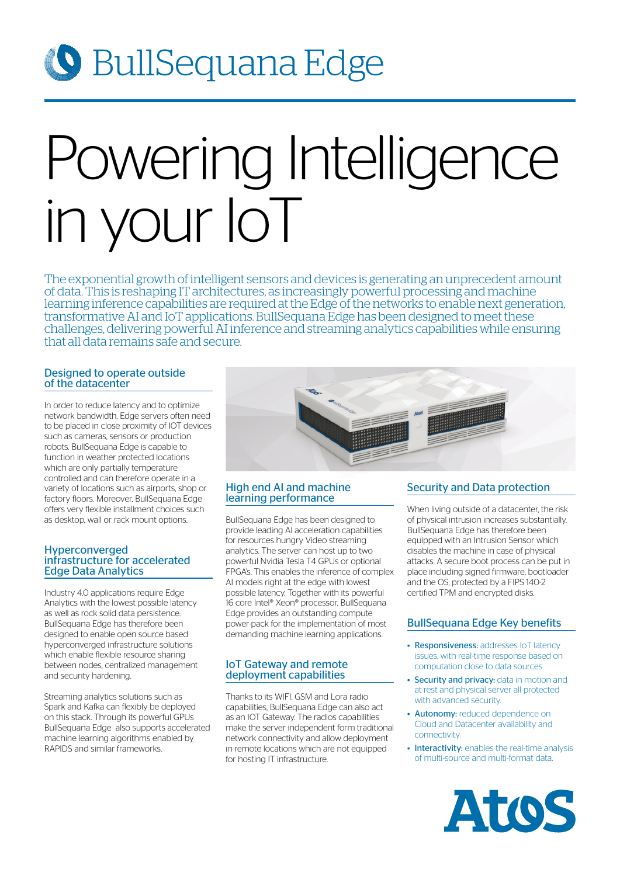## **O** BullSequana Edge

# Powering Intelligence in your IoT

The exponential growth of intelligent sensors and devices is generating an unprecedent amount of data. This is reshaping IT architectures, as increasingly powerful processing and machine learning inference capabilities are required at the Edge of the networks to enable next generation, transformative AI and IoT applications. BullSequana Edge has been designed to meet these challenges, delivering powerful AI inference and streaming analytics capabilities while ensuring that all data remains safe and secure.

### Designed to operate outside of the datacenter

In order to reduce latency and to optimize network bandwidth, Edge servers often need to be placed in close proximity of IOT devices such as cameras, sensors or production robots. BullSequana Edge is capable to function in weather protected locations which are only partially temperature controlled and can therefore operate in a variety of locations such as airports, shop or factory floors. Moreover, BullSequana Edge offers very flexible installment choices such as desktop, wall or rack mount options.

#### Hyperconverged infrastructure for accelerated Edge Data Analytics

Industry 4.0 applications require Edge Analytics with the lowest possible latency as well as rock solid data persistence. BullSequana Edge has therefore been designed to enable open source based hyperconverged infrastructure solutions which enable flexible resource sharing between nodes, centralized management and security hardening.

Streaming analytics solutions such as Spark and Kafka can flexibly be deployed on this stack. Through its powerful GPUs BullSequana Edge also supports accelerated machine learning algorithms enabled by RAPIDS and similar frameworks.



### High end AI and machine learning performance

BullSequana Edge has been designed to provide leading AI acceleration capabilities for resources hungry Video streaming analytics. The server can host up to two powerful Nvidia Tesla T4 GPUs or optional FPGA's. This enables the inference of complex AI models right at the edge with lowest possible latency. Together with its powerful 16 core Intel® Xeon® processor, BullSequana Edge provides an outstanding compute power-pack for the implementation of most demanding machine learning applications.

### IoT Gateway and remote deployment capabilities

Thanks to its WIFI, GSM and Lora radio capabilities, BullSequana Edge can also act as an IOT Gateway. The radios capabilities make the server independent form traditional network connectivity and allow deployment in remote locations which are not equipped for hosting IT infrastructure.

### Security and Data protection

When living outside of a datacenter, the risk of physical intrusion increases substantially. BullSequana Edge has therefore been equipped with an Intrusion Sensor which disables the machine in case of physical attacks. A secure boot process can be put in place including signed firmware, bootloader and the OS, protected by a FIPS 140-2 certified TPM and encrypted disks.

### BullSequana Edge Key benefits

- Responsiveness: addresses IoT latency issues, with real-time response based on computation close to data sources.
- Security and privacy: data in motion and at rest and physical server all protected with advanced security.
- Autonomy: reduced dependence on Cloud and Datacenter availability and connectivity.
- Interactivity: enables the real-time analysis of multi-source and multi-format data.